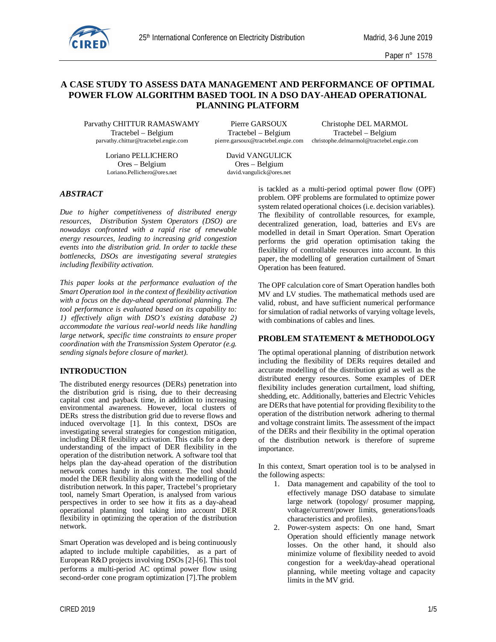

Paper n° 1578

# **A CASE STUDY TO ASSESS DATA MANAGEMENT AND PERFORMANCE OF OPTIMAL POWER FLOW ALGORITHM BASED TOOL IN A DSO DAY-AHEAD OPERATIONAL PLANNING PLATFORM**

Parvathy CHITTUR RAMASWAMY Pierre GARSOUX Christophe DEL MARMOL

Loriano PELLICHERO David VANGULICK Ores – Belgium Cres – Belgium Cres – Belgium Loriano. Pellichero@ores.net david.vangulick@ores.net

Tractebel – Belgium Tractebel – Belgium Tractebel – Belgium

parvathy.chittur@tractebel.engie.com pierre.garsoux@tractebel.engie.com christophe.delmarmol@tractebel.engie.com

david.vangulick@ores.net

# *ABSTRACT*

*Due to higher competitiveness of distributed energy resources, Distribution System Operators (DSO) are nowadays confronted with a rapid rise of renewable energy resources, leading to increasing grid congestion events into the distribution grid. In order to tackle these bottlenecks, DSOs are investigating several strategies including flexibility activation.*

*This paper looks at the performance evaluation of the Smart Operation tool in the context of flexibility activation with a focus on the day-ahead operational planning. The tool performance is evaluated based on its capability to: 1) effectively align with DSO's existing database 2) accommodate the various real-world needs like handling large network, specific time constraints to ensure proper coordination with the Transmission System Operator (e.g. sending signals before closure of market).*

## **INTRODUCTION**

The distributed energy resources (DERs) penetration into the distribution grid is rising, due to their decreasing capital cost and payback time, in addition to increasing environmental awareness. However, local clusters of DERs stress the distribution grid due to reverse flows and induced overvoltage [1]. In this context, DSOs are investigating several strategies for congestion mitigation, including DER flexibility activation. This calls for a deep understanding of the impact of DER flexibility in the operation of the distribution network. A software tool that helps plan the day-ahead operation of the distribution network comes handy in this context. The tool should model the DER flexibility along with the modelling of the distribution network. In this paper, Tractebel's proprietary tool, namely Smart Operation, is analysed from various perspectives in order to see how it fits as a day-ahead operational planning tool taking into account DER flexibility in optimizing the operation of the distribution network.

Smart Operation was developed and is being continuously adapted to include multiple capabilities, as a part of European R&D projects involving DSOs [2]-[6]. This tool performs a multi-period AC optimal power flow using second-order cone program optimization [7].The problem

is tackled as a multi-period optimal power flow (OPF) problem. OPF problems are formulated to optimize power system related operational choices (i.e. decision variables). The flexibility of controllable resources, for example, decentralized generation, load, batteries and EVs are modelled in detail in Smart Operation. Smart Operation performs the grid operation optimisation taking the flexibility of controllable resources into account. In this paper, the modelling of generation curtailment of Smart Operation has been featured.

The OPF calculation core of Smart Operation handles both MV and LV studies. The mathematical methods used are valid, robust, and have sufficient numerical performance for simulation of radial networks of varying voltage levels, with combinations of cables and lines.

# **PROBLEM STATEMENT & METHODOLOGY**

The optimal operational planning of distribution network including the flexibility of DERs requires detailed and accurate modelling of the distribution grid as well as the distributed energy resources. Some examples of DER flexibility includes generation curtailment, load shifting, shedding, etc. Additionally, batteries and Electric Vehicles are DERs that have potential for providing flexibility to the operation of the distribution network adhering to thermal and voltage constraint limits. The assessment of the impact of the DERs and their flexibility in the optimal operation of the distribution network is therefore of supreme importance.

In this context, Smart operation tool is to be analysed in the following aspects:

- 1. Data management and capability of the tool to effectively manage DSO database to simulate large network (topology/ prosumer mapping, voltage/current/power limits, generations/loads characteristics and profiles).
- 2. Power-system aspects: On one hand, Smart Operation should efficiently manage network losses. On the other hand, it should also minimize volume of flexibility needed to avoid congestion for a week/day-ahead operational planning, while meeting voltage and capacity limits in the MV grid.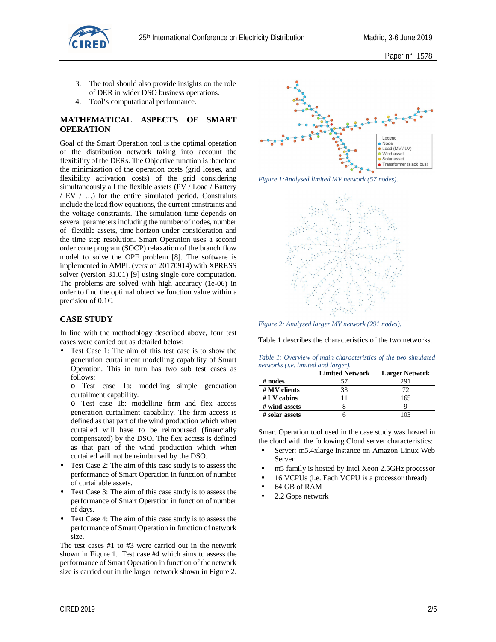

- 3. The tool should also provide insights on the role of DER in wider DSO business operations.
- 4. Tool's computational performance.

# **MATHEMATICAL ASPECTS OF SMART OPERATION**

Goal of the Smart Operation tool is the optimal operation of the distribution network taking into account the flexibility of the DERs. The Objective function is therefore the minimization of the operation costs (grid losses, and flexibility activation costs) of the grid considering simultaneously all the flexible assets (PV / Load / Battery / EV / …) for the entire simulated period. Constraints include the load flow equations, the current constraints and the voltage constraints. The simulation time depends on several parameters including the number of nodes, number of flexible assets, time horizon under consideration and the time step resolution. Smart Operation uses a second order cone program (SOCP) relaxation of the branch flow model to solve the OPF problem [8]. The software is implemented in AMPL (version 20170914) with XPRESS solver (version 31.01) [9] using single core computation. The problems are solved with high accuracy (1e-06) in order to find the optimal objective function value within a precision of  $0.1 \in$ .

# **CASE STUDY**

In line with the methodology described above, four test cases were carried out as detailed below:

- Test Case 1: The aim of this test case is to show the generation curtailment modelling capability of Smart Operation. This in turn has two sub test cases as follows:
	- o Test case 1a: modelling simple generation curtailment capability.
	- o Test case 1b: modelling firm and flex access generation curtailment capability. The firm access is defined as that part of the wind production which when curtailed will have to be reimbursed (financially compensated) by the DSO. The flex access is defined as that part of the wind production which when curtailed will not be reimbursed by the DSO.
- Test Case 2: The aim of this case study is to assess the performance of Smart Operation in function of number of curtailable assets.
- Test Case 3: The aim of this case study is to assess the performance of Smart Operation in function of number of days.
- Test Case 4: The aim of this case study is to assess the performance of Smart Operation in function of network size.

The test cases #1 to #3 were carried out in the network shown in Figure 1. Test case #4 which aims to assess the performance of Smart Operation in function of the network size is carried out in the larger network shown in Figure 2.



*Figure 1:Analysed limited MV network (57 nodes).*



*Figure 2: Analysed larger MV network (291 nodes).*

Table 1 describes the characteristics of the two networks.

*Table 1: Overview of main characteristics of the two simulated networks (i.e. limited and larger).*

|                | <b>Limited Network</b> | <b>Larger Network</b> |
|----------------|------------------------|-----------------------|
| $#$ nodes      |                        | 291                   |
| $#$ MV clients | 33                     |                       |
| $# LV$ cabins  |                        | 165                   |
| # wind assets  |                        |                       |
| # solar assets |                        |                       |

Smart Operation tool used in the case study was hosted in the cloud with the following Cloud server characteristics:

- Server: m5.4xlarge instance on Amazon Linux Web Server
- m5 family is hosted by Intel Xeon 2.5GHz processor
- 16 VCPUs (i.e. Each VCPU is a processor thread)
- 64 GB of RAM
- 2.2 Gbps network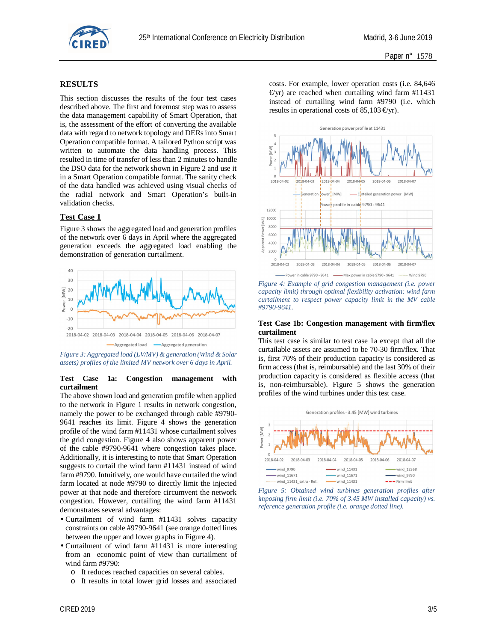

### **RESULTS**

This section discusses the results of the four test cases described above. The first and foremost step was to assess the data management capability of Smart Operation, that is, the assessment of the effort of converting the available data with regard to network topology and DERs into Smart Operation compatible format. A tailored Python script was written to automate the data handling process. This resulted in time of transfer of less than 2 minutes to handle the DSO data for the network shown in Figure 2 and use it in a Smart Operation compatible format. The sanity check of the data handled was achieved using visual checks of the radial network and Smart Operation's built-in validation checks.

## **Test Case 1**

Figure 3 shows the aggregated load and generation profiles of the network over 6 days in April where the aggregated generation exceeds the aggregated load enabling the demonstration of generation curtailment.



*Figure 3: Aggregated load (LV/MV) & generation (Wind & Solar assets) profiles of the limited MV network over 6 days in April.*

#### **Test Case 1a: Congestion management with curtailment**

The above shown load and generation profile when applied to the network in Figure 1 results in network congestion, namely the power to be exchanged through cable #9790- 9641 reaches its limit. Figure 4 shows the generation profile of the wind farm #11431 whose curtailment solves the grid congestion. Figure 4 also shows apparent power of the cable #9790-9641 where congestion takes place. Additionally, it is interesting to note that Smart Operation suggests to curtail the wind farm #11431 instead of wind farm #9790. Intuitively, one would have curtailed the wind farm located at node #9790 to directly limit the injected power at that node and therefore circumvent the network congestion. However, curtailing the wind farm #11431 demonstrates several advantages:

- Curtailment of wind farm #11431 solves capacity constraints on cable #9790-9641 (see orange dotted lines between the upper and lower graphs in Figure 4).
- Curtailment of wind farm #11431 is more interesting from an economic point of view than curtailment of wind farm #9790:
	- o It reduces reached capacities on several cables.
	- o It results in total lower grid losses and associated

costs. For example, lower operation costs (i.e. 84,646  $\Theta$ yr) are reached when curtailing wind farm #11431 instead of curtailing wind farm #9790 (i.e. which results in operational costs of 85,103  $\epsilon$ yr).



*Figure 4: Example of grid congestion management (i.e. power capacity limit) through optimal flexibility activation: wind farm curtailment to respect power capacity limit in the MV cable #9790-9641.*

#### **Test Case 1b: Congestion management with firm/flex curtailment**

This test case is similar to test case 1a except that all the curtailable assets are assumed to be 70-30 firm/flex. That is, first 70% of their production capacity is considered as firm access (that is, reimbursable) and the last 30% of their production capacity is considered as flexible access (that is, non-reimbursable). Figure 5 shows the generation profiles of the wind turbines under this test case.



*Figure 5: Obtained wind turbines generation profiles after imposing firm limit (i.e. 70% of 3.45 MW installed capacity) vs. reference generation profile (i.e. orange dotted line).*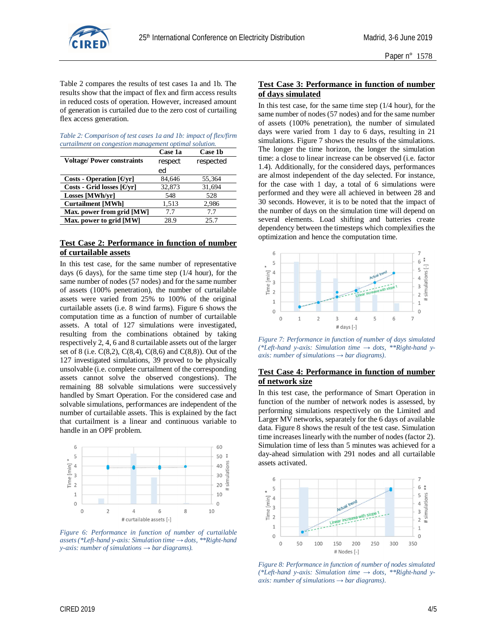

Table 2 compares the results of test cases 1a and 1b. The results show that the impact of flex and firm access results in reduced costs of operation. However, increased amount of generation is curtailed due to the zero cost of curtailing flex access generation.

*Table 2: Comparison of test cases 1a and 1b: impact of flex/firm curtailment on congestion management optimal solution.*

|                                                      | Case 1a | Case 1b   |
|------------------------------------------------------|---------|-----------|
| <b>Voltage/Power constraints</b>                     | respect | respected |
|                                                      | ed      |           |
| Costs - Operation $\lceil \Theta_{\rm yr} \rceil$    | 84,646  | 55,364    |
| Costs - Grid losses $\lceil \Theta \text{yr} \rceil$ | 32,873  | 31,694    |
| Losses [MWh/vr]                                      | 548     | 528       |
| <b>Curtailment [MWh]</b>                             | 1,513   | 2,986     |
| Max. power from grid [MW]                            | 7.7     | 7.7       |
| Max. power to grid [MW]                              | 28.9    | 25.7      |

## **Test Case 2: Performance in function of number of curtailable assets**

In this test case, for the same number of representative days (6 days), for the same time step (1/4 hour), for the same number of nodes (57 nodes) and for the same number of assets (100% penetration), the number of curtailable assets were varied from 25% to 100% of the original curtailable assets (i.e. 8 wind farms). Figure 6 shows the computation time as a function of number of curtailable assets. A total of 127 simulations were investigated, resulting from the combinations obtained by taking respectively 2, 4, 6 and 8 curtailable assets out of the larger set of 8 (i.e. C(8,2), C(8,4), C(8,6) and C(8,8)). Out of the 127 investigated simulations, 39 proved to be physically unsolvable (i.e. complete curtailment of the corresponding assets cannot solve the observed congestions). The remaining 88 solvable simulations were successively handled by Smart Operation. For the considered case and solvable simulations, performances are independent of the number of curtailable assets. This is explained by the fact that curtailment is a linear and continuous variable to handle in an OPF problem.



*Figure 6: Performance in function of number of curtailable assets (\*Left-hand y-axis: Simulation time → dots, \*\*Right-hand y-axis: number of simulations → bar diagrams).*

## **Test Case 3: Performance in function of number of days simulated**

In this test case, for the same time step  $(1/4$  hour), for the same number of nodes (57 nodes) and for the same number of assets (100% penetration), the number of simulated days were varied from 1 day to 6 days, resulting in 21 simulations. Figure 7 shows the results of the simulations. The longer the time horizon, the longer the simulation time: a close to linear increase can be observed (i.e. factor 1.4). Additionally, for the considered days, performances are almost independent of the day selected. For instance, for the case with 1 day, a total of 6 simulations were performed and they were all achieved in between 28 and 30 seconds. However, it is to be noted that the impact of the number of days on the simulation time will depend on several elements. Load shifting and batteries create dependency between the timesteps which complexifies the optimization and hence the computation time.



*Figure 7: Performance in function of number of days simulated (\*Left-hand y-axis: Simulation time → dots, \*\*Right-hand yaxis: number of simulations → bar diagrams).*

### **Test Case 4: Performance in function of number of network size**

In this test case, the performance of Smart Operation in function of the number of network nodes is assessed, by performing simulations respectively on the Limited and Larger MV networks, separately for the 6 days of available data. Figure 8 shows the result of the test case. Simulation time increases linearly with the number of nodes (factor 2). Simulation time of less than 5 minutes was achieved for a day-ahead simulation with 291 nodes and all curtailable assets activated.



*Figure 8: Performance in function of number of nodes simulated (\*Left-hand y-axis: Simulation time → dots, \*\*Right-hand yaxis: number of simulations → bar diagrams).*